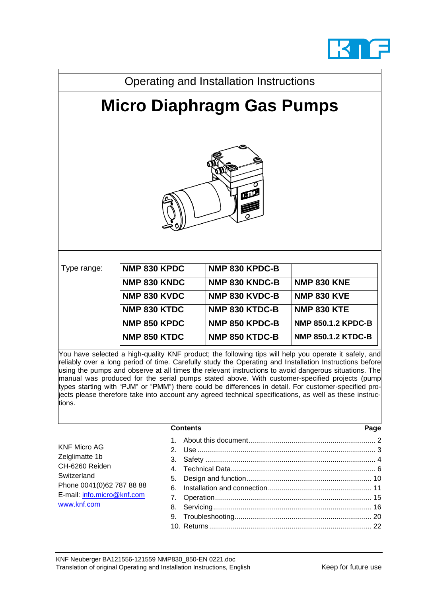

| Operating and Installation Instructions |              |                |                           |  |
|-----------------------------------------|--------------|----------------|---------------------------|--|
| <b>Micro Diaphragm Gas Pumps</b>        |              |                |                           |  |
| 吅                                       |              |                |                           |  |
| Type range:                             | NMP 830 KPDC | NMP 830 KPDC-B |                           |  |
|                                         | NMP 830 KNDC | NMP 830 KNDC-B | <b>NMP 830 KNE</b>        |  |
|                                         | NMP 830 KVDC | NMP 830 KVDC-B | <b>NMP 830 KVE</b>        |  |
|                                         | NMP 830 KTDC | NMP 830 KTDC-B | <b>NMP 830 KTE</b>        |  |
|                                         | NMP 850 KPDC | NMP 850 KPDC-B | <b>NMP 850.1.2 KPDC-B</b> |  |
|                                         | NMP 850 KTDC | NMP 850 KTDC-B | <b>NMP 850.1.2 KTDC-B</b> |  |

You have selected a high-quality KNF product; the following tips will help you operate it safely, and reliably over a long period of time. Carefully study the Operating and Installation Instructions before using the pumps and observe at all times the relevant instructions to avoid dangerous situations. The manual was produced for the serial pumps stated above. With customer-specified projects (pump types starting with "PJM" or "PMM") there could be differences in detail. For customer-specified projects please therefore take into account any agreed technical specifications, as well as these instructions.

| <b>Contents</b> | Page |
|-----------------|------|
|-----------------|------|

KNF Micro AG Zelglimatte 1b CH-6260 Reiden **Switzerland** Phone 0041(0)62 787 88 88 E-mail: [info.micro@knf.com](mailto:info.micro@knf.com) [www.knf.com](http://www.knf.com/)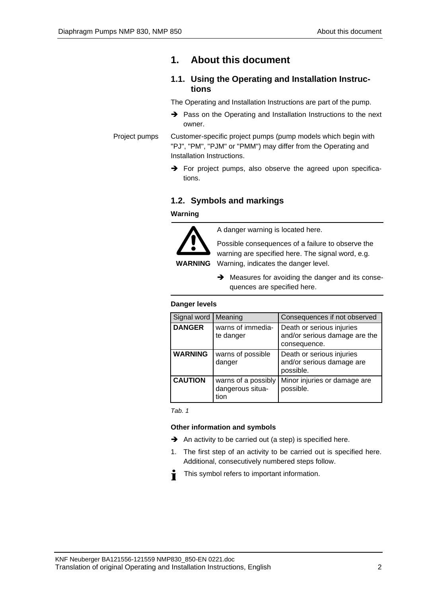# <span id="page-1-0"></span>**1. About this document**

## **1.1. Using the Operating and Installation Instructions**

The Operating and Installation Instructions are part of the pump.

➔ Pass on the Operating and Installation Instructions to the next owner.

Customer-specific project pumps (pump models which begin with "PJ", "PM", "PJM" or "PMM") may differ from the Operating and Installation Instructions. Project pumps

> $\rightarrow$  For project pumps, also observe the agreed upon specifications.

## **1.2. Symbols and markings**

**Warning**



A danger warning is located here.

Possible consequences of a failure to observe the warning are specified here. The signal word, e.g. Warning, indicates the danger level.

**→** Measures for avoiding the danger and its consequences are specified here.

#### **Danger levels**

| Signal word    | Meaning                                         | Consequences if not observed                                               |
|----------------|-------------------------------------------------|----------------------------------------------------------------------------|
| <b>DANGER</b>  | warns of immedia-<br>te danger                  | Death or serious injuries<br>and/or serious damage are the<br>consequence. |
| <b>WARNING</b> | warns of possible<br>danger                     | Death or serious injuries<br>and/or serious damage are<br>possible.        |
| <b>CAUTION</b> | warns of a possibly<br>dangerous situa-<br>tion | Minor injuries or damage are<br>possible.                                  |

*Tab. 1*

## **Other information and symbols**

- ➔ An activity to be carried out (a step) is specified here.
- 1. The first step of an activity to be carried out is specified here. Additional, consecutively numbered steps follow.
- This symbol refers to important information. Ť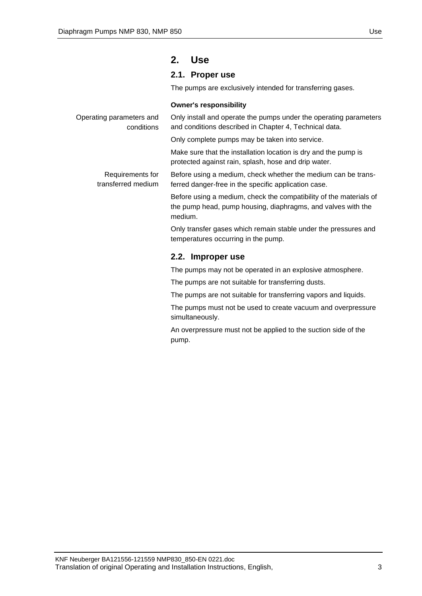# <span id="page-2-0"></span>**2. Use**

## **2.1. Proper use**

The pumps are exclusively intended for transferring gases.

#### **Owner's responsibility**

| Operating parameters and<br>conditions | Only install and operate the pumps under the operating parameters<br>and conditions described in Chapter 4, Technical data.                   |  |
|----------------------------------------|-----------------------------------------------------------------------------------------------------------------------------------------------|--|
|                                        | Only complete pumps may be taken into service.                                                                                                |  |
|                                        | Make sure that the installation location is dry and the pump is<br>protected against rain, splash, hose and drip water.                       |  |
| Requirements for<br>transferred medium | Before using a medium, check whether the medium can be trans-<br>ferred danger-free in the specific application case.                         |  |
|                                        | Before using a medium, check the compatibility of the materials of<br>the pump head, pump housing, diaphragms, and valves with the<br>medium. |  |
|                                        | Only transfer gases which remain stable under the pressures and<br>temperatures occurring in the pump.                                        |  |
|                                        | 2.2. Improper use                                                                                                                             |  |
|                                        | The pumps may not be operated in an explosive atmosphere.                                                                                     |  |
|                                        | The pumps are not suitable for transferring dusts.                                                                                            |  |
|                                        | The pumps are not suitable for transferring vapors and liquids.                                                                               |  |
|                                        | The puppe must not be used to exacts vecuum and overspecuse                                                                                   |  |

The pumps must not be used to create vacuum and overpressure simultaneously.

An overpressure must not be applied to the suction side of the pump.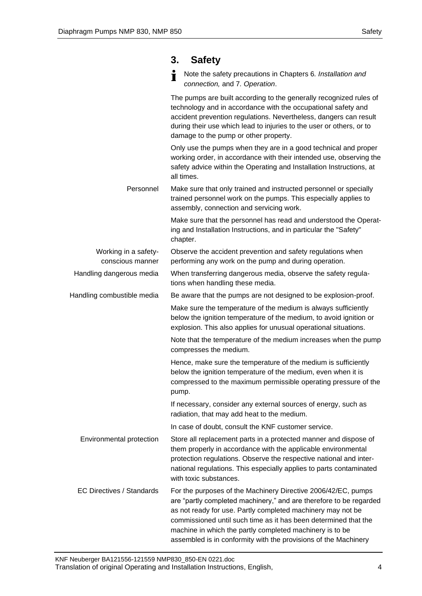## <span id="page-3-0"></span>**3. Safety**

Note the safety precautions in Chapters 6*. Installation and*  Ť *connection,* and 7*. Operation*.

The pumps are built according to the generally recognized rules of technology and in accordance with the occupational safety and accident prevention regulations. Nevertheless, dangers can result during their use which lead to injuries to the user or others, or to damage to the pump or other property. Only use the pumps when they are in a good technical and proper working order, in accordance with their intended use, observing the safety advice within the Operating and Installation Instructions, at all times. Make sure that only trained and instructed personnel or specially trained personnel work on the pumps. This especially applies to assembly, connection and servicing work. Make sure that the personnel has read and understood the Operating and Installation Instructions, and in particular the "Safety" chapter. Observe the accident prevention and safety regulations when performing any work on the pump and during operation. When transferring dangerous media, observe the safety regulations when handling these media. Be aware that the pumps are not designed to be explosion-proof. Make sure the temperature of the medium is always sufficiently below the ignition temperature of the medium, to avoid ignition or explosion. This also applies for unusual operational situations. Note that the temperature of the medium increases when the pump compresses the medium. Hence, make sure the temperature of the medium is sufficiently below the ignition temperature of the medium, even when it is compressed to the maximum permissible operating pressure of the pump. If necessary, consider any external sources of energy, such as radiation, that may add heat to the medium. In case of doubt, consult the KNF customer service. Store all replacement parts in a protected manner and dispose of them properly in accordance with the applicable environmental protection regulations. Observe the respective national and international regulations. This especially applies to parts contaminated with toxic substances. For the purposes of the Machinery Directive 2006/42/EC, pumps are "partly completed machinery," and are therefore to be regarded as not ready for use. Partly completed machinery may not be commissioned until such time as it has been determined that the machine in which the partly completed machinery is to be assembled is in conformity with the provisions of the Machinery Personnel Working in a safetyconscious manner Handling dangerous media Handling combustible media Environmental protection EC Directives / Standards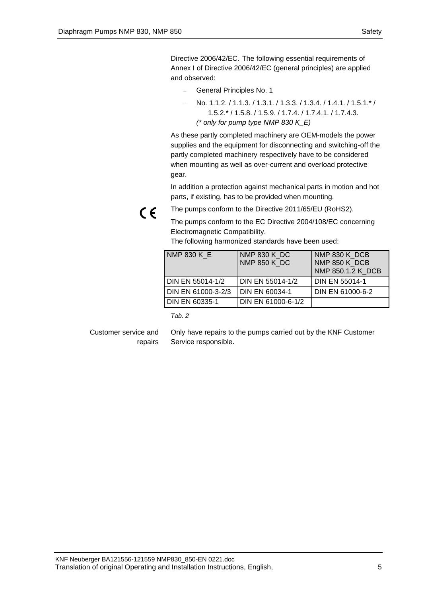Directive 2006/42/EC. The following essential requirements of Annex I of Directive 2006/42/EC (general principles) are applied and observed:

- − General Principles No. 1
- − No. 1.1.2. / 1.1.3. / 1.3.1. / 1.3.3. / 1.3.4. / 1.4.1. / 1.5.1.\* / 1.5.2.\* / 1.5.8. / 1.5.9. / 1.7.4. / 1.7.4.1. / 1.7.4.3. *(\* only for pump type NMP 830 K\_E)*

As these partly completed machinery are OEM-models the power supplies and the equipment for disconnecting and switching-off the partly completed machinery respectively have to be considered when mounting as well as over-current and overload protective gear.

In addition a protection against mechanical parts in motion and hot parts, if existing, has to be provided when mounting.

 $\epsilon$ 

The pumps conform to the Directive 2011/65/EU (RoHS2).

The pumps conform to the EC Directive 2004/108/EC concerning Electromagnetic Compatibility.

The following harmonized standards have been used:

| <b>NMP 830 K E</b> | NMP 830 K DC<br><b>NMP 850 K DC</b> | NMP 830 K DCB<br>NMP 850 K DCB<br>NMP 850.1.2 K DCB |
|--------------------|-------------------------------------|-----------------------------------------------------|
| DIN EN 55014-1/2   | DIN EN 55014-1/2                    | <b>DIN EN 55014-1</b>                               |
| DIN EN 61000-3-2/3 | DIN EN 60034-1                      | DIN EN 61000-6-2                                    |
| DIN EN 60335-1     | DIN EN 61000-6-1/2                  |                                                     |

*Tab. 2*

#### Customer service and repairs

Only have repairs to the pumps carried out by the KNF Customer Service responsible.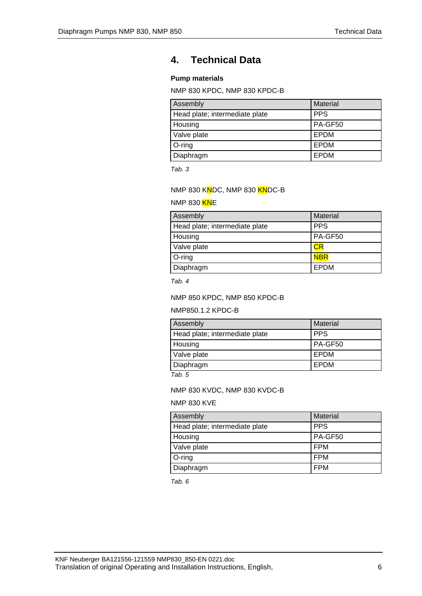# <span id="page-5-0"></span>**4. Technical Data**

## **Pump materials**

NMP 830 KPDC, NMP 830 KPDC-B

| Assembly                       | <b>Material</b> |
|--------------------------------|-----------------|
| Head plate; intermediate plate | <b>PPS</b>      |
| Housing                        | PA-GF50         |
| Valve plate                    | <b>EPDM</b>     |
| O-ring                         | <b>EPDM</b>     |
| Diaphragm                      | EPDM            |

*Tab. 3*

#### NMP 830 KNDC, NMP 830 KNDC-B

#### NMP 830 KNE

| Assembly                       | Material   |
|--------------------------------|------------|
| Head plate; intermediate plate | <b>PPS</b> |
| Housing                        | PA-GF50    |
| Valve plate                    | СR         |
| $O$ -ring                      | <b>NBR</b> |
| Diaphragm                      | EPDM       |

*Tab. 4*

#### NMP 850 KPDC, NMP 850 KPDC-B

#### NMP850.1.2 KPDC-B

| Assembly                       | Material     |
|--------------------------------|--------------|
| Head plate; intermediate plate | <b>PPS</b>   |
| Housing                        | PA-GF50      |
| Valve plate                    | <b>LEPDM</b> |
| Diaphragm                      | l EPDM       |

*Tab. 5*

#### NMP 830 KVDC, NMP 830 KVDC-B

#### NMP 830 KVE

| Assembly                       | Material   |
|--------------------------------|------------|
| Head plate; intermediate plate | <b>PPS</b> |
| Housing                        | PA-GF50    |
| Valve plate                    | <b>FPM</b> |
| $O$ -ring                      | <b>FPM</b> |
| Diaphragm                      | <b>FPM</b> |

*Tab. 6*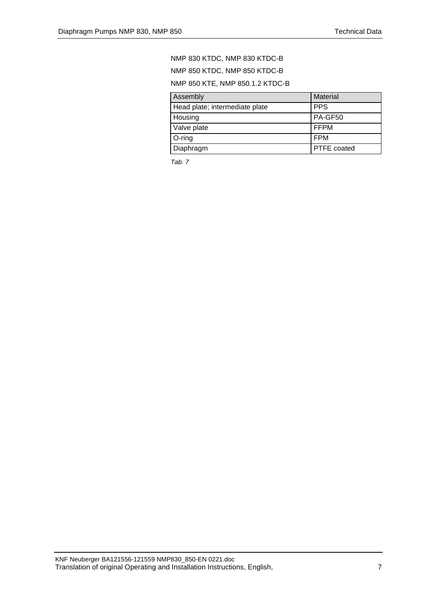## NMP 830 KTDC, NMP 830 KTDC-B NMP 850 KTDC, NMP 850 KTDC-B NMP 850 KTE, NMP 850.1.2 KTDC-B

| Assembly                       | Material           |  |
|--------------------------------|--------------------|--|
| Head plate; intermediate plate | <b>PPS</b>         |  |
| Housing                        | PA-GF50            |  |
| Valve plate                    | <b>IFFPM</b>       |  |
| $O$ -ring                      | l FPM              |  |
| Diaphragm                      | <b>PTFE</b> coated |  |

*Tab. 7*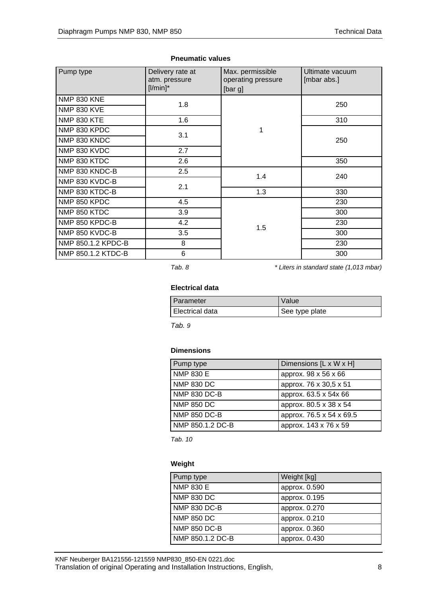| Pump type          | Delivery rate at<br>atm. pressure<br>$[1/min]^*$ | Max. permissible<br>operating pressure<br>[bar g] | Ultimate vacuum<br>[mbar abs.] |
|--------------------|--------------------------------------------------|---------------------------------------------------|--------------------------------|
| <b>NMP 830 KNE</b> | 1.8                                              |                                                   | 250                            |
| <b>NMP 830 KVE</b> |                                                  |                                                   |                                |
| <b>NMP 830 KTE</b> | 1.6                                              |                                                   | 310                            |
| NMP 830 KPDC       | 3.1                                              | 1                                                 |                                |
| NMP 830 KNDC       |                                                  |                                                   | 250                            |
| NMP 830 KVDC       | 2.7                                              |                                                   |                                |
| NMP 830 KTDC       | 2.6                                              |                                                   | 350                            |
| NMP 830 KNDC-B     | 2.5                                              | 1.4                                               | 240                            |
| NMP 830 KVDC-B     | 2.1                                              |                                                   |                                |
| NMP 830 KTDC-B     |                                                  | 1.3                                               | 330                            |
| NMP 850 KPDC       | 4.5                                              |                                                   | 230                            |
| NMP 850 KTDC       | 3.9                                              |                                                   | 300                            |
| NMP 850 KPDC-B     | 4.2                                              | 1.5                                               | 230                            |
| NMP 850 KVDC-B     | 3.5                                              |                                                   | 300                            |
| NMP 850.1.2 KPDC-B | 8                                                |                                                   | 230                            |
| NMP 850.1.2 KTDC-B | 6                                                |                                                   | 300                            |

#### **Pneumatic values**

*Tab. 8 \* Liters in standard state (1,013 mbar)*

#### **Electrical data**

| <b>Parameter</b> | Value          |
|------------------|----------------|
| Electrical data  | See type plate |

*Tab. 9*

#### **Dimensions**

| Pump type           | Dimensions [L x W x H]   |
|---------------------|--------------------------|
| <b>NMP 830 E</b>    | approx. 98 x 56 x 66     |
| <b>NMP 830 DC</b>   | approx. 76 x 30,5 x 51   |
| <b>NMP 830 DC-B</b> | approx. 63.5 x 54x 66    |
| <b>NMP 850 DC</b>   | approx. 80.5 x 38 x 54   |
| <b>NMP 850 DC-B</b> | approx. 76.5 x 54 x 69.5 |
| NMP 850.1.2 DC-B    | approx. 143 x 76 x 59    |

*Tab. 10*

#### **Weight**

| Pump type         | Weight [kg]   |
|-------------------|---------------|
| <b>NMP 830 E</b>  | approx. 0.590 |
| <b>NMP 830 DC</b> | approx. 0.195 |
| NMP 830 DC-B      | approx. 0.270 |
| <b>NMP 850 DC</b> | approx. 0.210 |
| NMP 850 DC-B      | approx. 0.360 |
| NMP 850.1.2 DC-B  | approx. 0.430 |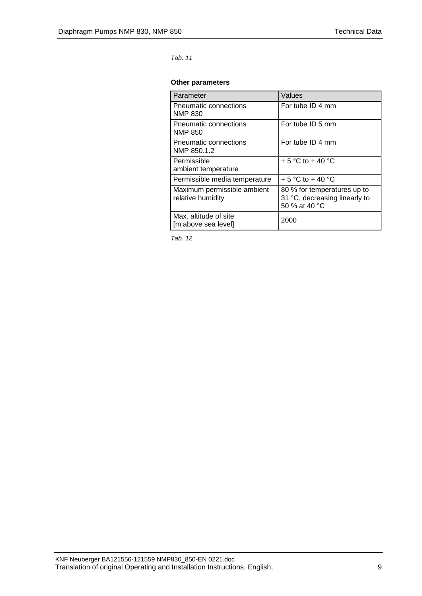#### *Tab. 11*

#### **Other parameters**

| Parameter                                        | Values                                                                        |
|--------------------------------------------------|-------------------------------------------------------------------------------|
| Pneumatic connections<br><b>NMP 830</b>          | For tube ID 4 mm                                                              |
| Pneumatic connections<br><b>NMP 850</b>          | For tube ID 5 mm                                                              |
| Pneumatic connections<br>NMP 850.1.2             | For tube ID 4 mm                                                              |
| Permissible<br>ambient temperature               | + 5 °C to + 40 °C                                                             |
| Permissible media temperature                    | + 5 °C to + 40 °C                                                             |
| Maximum permissible ambient<br>relative humidity | 80 % for temperatures up to<br>31 °C, decreasing linearly to<br>50 % at 40 °C |
| Max. altitude of site<br>[m above sea level]     | 2000                                                                          |

*Tab. 12*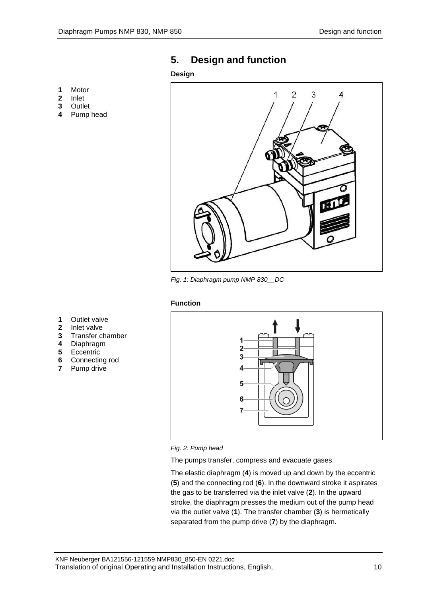# <span id="page-9-0"></span>**5. Design and function**

#### **Design**

- **1** Motor
- **2** Inlet
- **3** Outlet
- **4** Pump head



*Fig. 1: Diaphragm pump NMP 830\_\_DC*

#### **Function**

- **1** Outlet valve
- **2** Inlet valve
- **3** Transfer chamber
- **4** Diaphragm
- **5** Eccentric
- **6** Connecting rod
- **7** Pump drive





The pumps transfer, compress and evacuate gases.

The elastic diaphragm (**4**) is moved up and down by the eccentric (**5**) and the connecting rod (**6**). In the downward stroke it aspirates the gas to be transferred via the inlet valve (**2**). In the upward stroke, the diaphragm presses the medium out of the pump head via the outlet valve (**1**). The transfer chamber (**3**) is hermetically separated from the pump drive (**7**) by the diaphragm.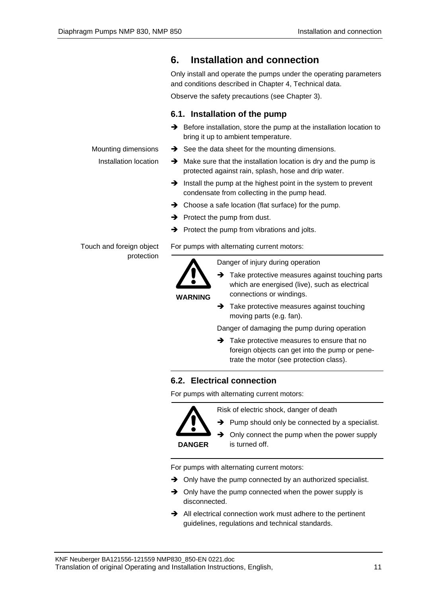## Only install and operate the pumps under the operating parameters and conditions described in Chapter [4,](#page-5-0) Technical data. Observe the safety precautions (see Chapter 3). **6.1. Installation of the pump** ➔ Before installation, store the pump at the installation location to bring it up to ambient temperature. **→** See the data sheet for the mounting dimensions. ➔ Make sure that the installation location is dry and the pump is protected against rain, splash, hose and drip water. ➔ Install the pump at the highest point in the system to prevent condensate from collecting in the pump head. ➔ Choose a safe location (flat surface) for the pump.  $\rightarrow$  Protect the pump from dust. ➔ Protect the pump from vibrations and jolts. For pumps with alternating current motors: Mounting dimensions Installation location Touch and foreign object protection

<span id="page-10-0"></span>**6. Installation and connection**



Danger of injury during operation

- **→** Take protective measures against touching parts which are energised (live), such as electrical connections or windings.
	- **→** Take protective measures against touching moving parts (e.g. fan).

Danger of damaging the pump during operation

➔ Take protective measures to ensure that no foreign objects can get into the pump or penetrate the motor (see protection class).

# **6.2. Electrical connection**

For pumps with alternating current motors:



Risk of electric shock, danger of death

**→** Pump should only be connected by a specialist.

➔ Only connect the pump when the power supply is turned off.

For pumps with alternating current motors:

- **→** Only have the pump connected by an authorized specialist.
- $\rightarrow$  Only have the pump connected when the power supply is disconnected.
- ➔ All electrical connection work must adhere to the pertinent guidelines, regulations and technical standards.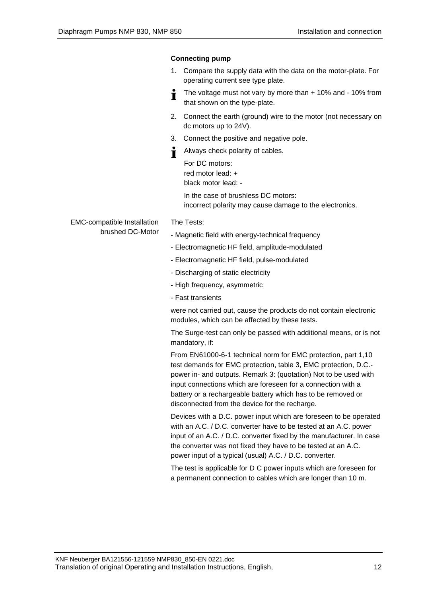## **Connecting pump**

- 1. Compare the supply data with the data on the motor-plate. For operating current see type plate.
- The voltage must not vary by more than + 10% and 10% from T that shown on the type-plate.
- 2. Connect the earth (ground) wire to the motor (not necessary on dc motors up to 24V).
- 3. Connect the positive and negative pole.
- Always check polarity of cables.
	- For DC motors: red motor lead: + black motor lead: -

In the case of brushless DC motors: incorrect polarity may cause damage to the electronics.

#### EMC-compatible Installation brushed DC-Motor

- The Tests:
- Magnetic field with energy-technical frequency
- Electromagnetic HF field, amplitude-modulated
- Electromagnetic HF field, pulse-modulated
- Discharging of static electricity
- High frequency, asymmetric
- Fast transients

were not carried out, cause the products do not contain electronic modules, which can be affected by these tests.

The Surge-test can only be passed with additional means, or is not mandatory, if:

From EN61000-6-1 technical norm for EMC protection, part 1,10 test demands for EMC protection, table 3, EMC protection, D.C. power in- and outputs. Remark 3: (quotation) Not to be used with input connections which are foreseen for a connection with a battery or a rechargeable battery which has to be removed or disconnected from the device for the recharge.

Devices with a D.C. power input which are foreseen to be operated with an A.C. / D.C. converter have to be tested at an A.C. power input of an A.C. / D.C. converter fixed by the manufacturer. In case the converter was not fixed they have to be tested at an A.C. power input of a typical (usual) A.C. / D.C. converter.

The test is applicable for D C power inputs which are foreseen for a permanent connection to cables which are longer than 10 m.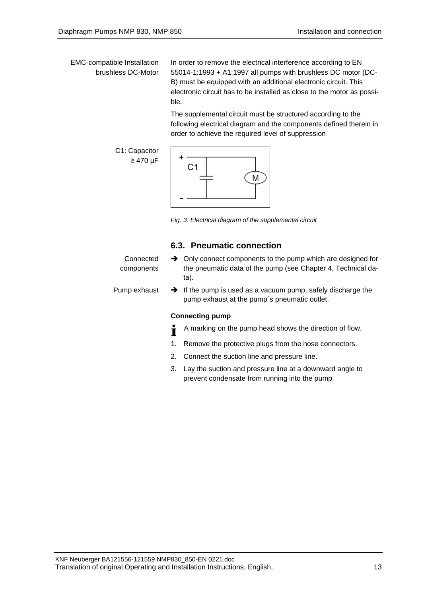EMC-compatible Installation brushless DC-Motor

In order to remove the electrical interference according to EN 55014-1:1993 + A1:1997 all pumps with brushless DC motor (DC-B) must be equipped with an additional electronic circuit. This electronic circuit has to be installed as close to the motor as possible.

The supplemental circuit must be structured according to the following electrical diagram and the components defined therein in order to achieve the required level of suppression

C1: Capacitor ≥ 470 μF



*Fig. 3: Electrical diagram of the supplemental circuit*

## **6.3. Pneumatic connection**

| Connected    | $\rightarrow$ Only connect components to the pump which are designed for                                                 |
|--------------|--------------------------------------------------------------------------------------------------------------------------|
| components   | the pneumatic data of the pump (see Chapter 4, Technical da-<br>ta).                                                     |
| Pump exhaust | $\rightarrow$ If the pump is used as a vacuum pump, safely discharge the<br>pump exhaust at the pump's pneumatic outlet. |
|              | <b>Connecting pump</b>                                                                                                   |
|              |                                                                                                                          |

- A marking on the pump head shows the direction of flow. Ť
- 1. Remove the protective plugs from the hose connectors.
- 2. Connect the suction line and pressure line.
- 3. Lay the suction and pressure line at a downward angle to prevent condensate from running into the pump.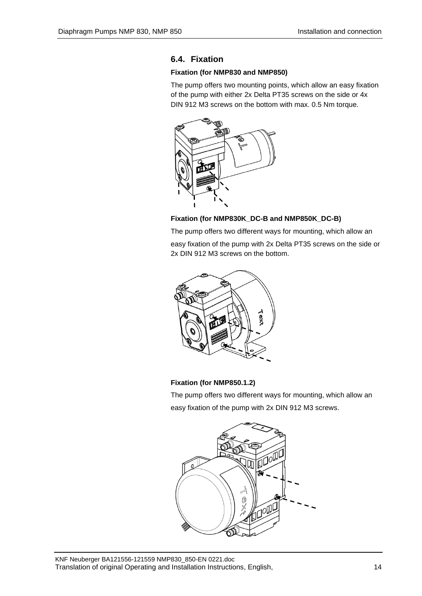## **6.4. Fixation**

## **Fixation (for NMP830 and NMP850)**

The pump offers two mounting points, which allow an easy fixation of the pump with either 2x Delta PT35 screws on the side or 4x DIN 912 M3 screws on the bottom with max. 0.5 Nm torque.



## **Fixation (for NMP830K\_DC-B and NMP850K\_DC-B)**

The pump offers two different ways for mounting, which allow an easy fixation of the pump with 2x Delta PT35 screws on the side or 2x DIN 912 M3 screws on the bottom.



## **Fixation (for NMP850.1.2)**

The pump offers two different ways for mounting, which allow an easy fixation of the pump with 2x DIN 912 M3 screws.

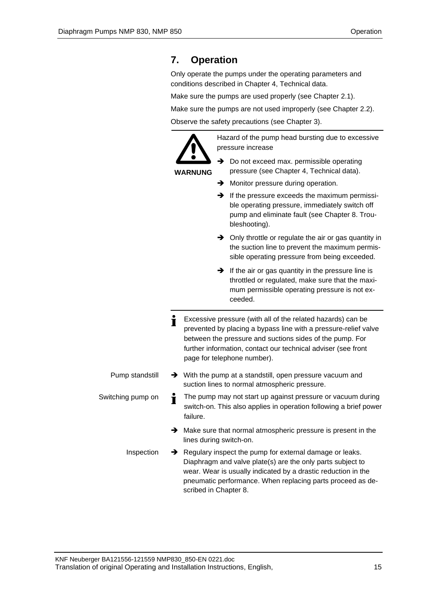# <span id="page-14-0"></span>**7. Operation**

Only operate the pumps under the operating parameters and conditions described in Chapter [4,](#page-5-0) Technical data.

Make sure the pumps are used properly (see Chapter 2.1).

Make sure the pumps are not used improperly (see Chapter 2.2).

Observe the safety precautions (see Chapter 3).

**WARNUNG**

Hazard of the pump head bursting due to excessive pressure increase

- **→** Do not exceed max. permissible operating pressure (see Chapter 4, Technical data).
- **→** Monitor pressure during operation.
- ➔ If the pressure exceeds the maximum permissible operating pressure, immediately switch off pump and eliminate fault (see Chapter 8. Troubleshooting).
- ➔ Only throttle or regulate the air or gas quantity in the suction line to prevent the maximum permissible operating pressure from being exceeded.
- ➔ If the air or gas quantity in the pressure line is throttled or regulated, make sure that the maximum permissible operating pressure is not exceeded.
- Ť Excessive pressure (with all of the related hazards) can be prevented by placing a bypass line with a pressure-relief valve between the pressure and suctions sides of the pump. For further information, contact our technical adviser (see front page for telephone number).
- ➔ With the pump at a standstill, open pressure vacuum and suction lines to normal atmospheric pressure. Pump standstill
- The pump may not start up against pressure or vacuum during Switching pump on Ť switch-on. This also applies in operation following a brief power failure.
	- ➔ Make sure that normal atmospheric pressure is present in the lines during switch-on.
	- ➔ Regulary inspect the pump for external damage or leaks. Diaphragm and valve plate(s) are the only parts subject to wear. Wear is usually indicated by a drastic reduction in the pneumatic performance. When replacing parts proceed as described in Chapter 8. Inspection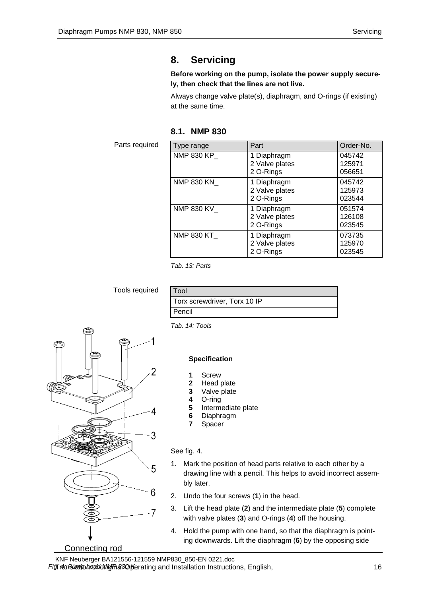# <span id="page-15-0"></span>**8. Servicing**

#### **Before working on the pump, isolate the power supply securely, then check that the lines are not live.**

Always change valve plate(s), diaphragm, and O-rings (if existing) at the same time.

| 8.1. | <b>NMP 830</b> |  |
|------|----------------|--|
|------|----------------|--|

Parts required

| Type range        | Part                                       | Order-No.                  |
|-------------------|--------------------------------------------|----------------------------|
| <b>NMP 830 KP</b> | 1 Diaphragm<br>2 Valve plates<br>2 O-Rings | 045742<br>125971<br>056651 |
| NMP 830 KN_       | 1 Diaphragm<br>2 Valve plates<br>2 O-Rings | 045742<br>125973<br>023544 |
| NMP 830 KV_       | 1 Diaphragm<br>2 Valve plates<br>2 O-Rings | 051574<br>126108<br>023545 |
| NMP 830 KT_       | 1 Diaphragm<br>2 Valve plates<br>2 O-Rings | 073735<br>125970<br>023545 |

*Tab. 13: Parts*

Tools required

| Fool                         |  |
|------------------------------|--|
| Torx screwdriver, Torx 10 IP |  |
| I Pencil                     |  |

*Tab. 14: Tools*

## **Specification**

- **1** Screw
- **2** Head plate
- **3** Valve plate
- **4** O-ring
- **5** Intermediate plate
- **6** Diaphragm
- **7** Spacer

## See fig. 4.

- 1. Mark the position of head parts relative to each other by a drawing line with a pencil. This helps to avoid incorrect assembly later.
- 2. Undo the four screws (**1**) in the head.
- 3. Lift the head plate (**2**) and the intermediate plate (**5**) complete with valve plates (**3**) and O-rings (**4**) off the housing.
- 4. Hold the pump with one hand, so that the diaphragm is pointing downwards. Lift the diaphragm (**6**) by the opposing side

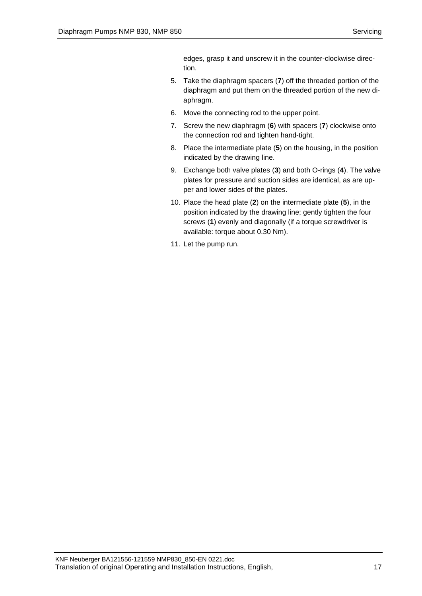edges, grasp it and unscrew it in the counter-clockwise direction.

- 5. Take the diaphragm spacers (**7**) off the threaded portion of the diaphragm and put them on the threaded portion of the new diaphragm.
- 6. Move the connecting rod to the upper point.
- 7. Screw the new diaphragm (**6**) with spacers (**7**) clockwise onto the connection rod and tighten hand-tight.
- 8. Place the intermediate plate (**5**) on the housing, in the position indicated by the drawing line.
- 9. Exchange both valve plates (**3**) and both O-rings (**4**). The valve plates for pressure and suction sides are identical, as are upper and lower sides of the plates.
- 10. Place the head plate (**2**) on the intermediate plate (**5**), in the position indicated by the drawing line; gently tighten the four screws (**1**) evenly and diagonally (if a torque screwdriver is available: torque about 0.30 Nm).
- 11. Let the pump run.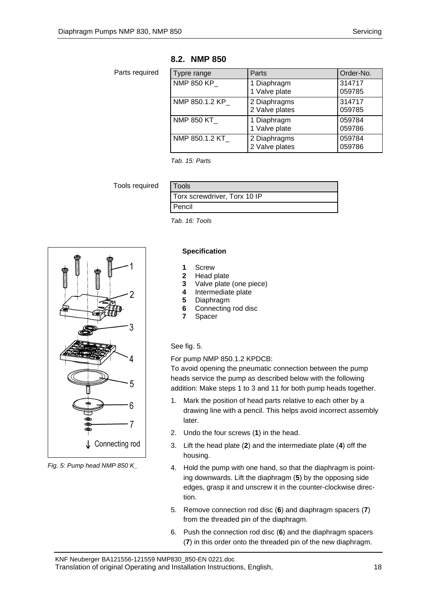## **8.2. NMP 850**

Parts required

| Typre range       | Parts                          | Order-No.        |
|-------------------|--------------------------------|------------------|
| <b>NMP 850 KP</b> | 1 Diaphragm<br>1 Valve plate   | 314717<br>059785 |
| NMP 850.1.2 KP    | 2 Diaphragms<br>2 Valve plates | 314717<br>059785 |
| <b>NMP 850 KT</b> | 1 Diaphragm<br>1 Valve plate   | 059784<br>059786 |
| NMP 850.1.2 KT    | 2 Diaphragms<br>2 Valve plates | 059784<br>059786 |

*Tab. 15: Parts*

Tools required

| <b>Tools</b>                 |
|------------------------------|
| Torx screwdriver, Torx 10 IP |
| Pencil                       |

*Tab. 16: Tools*



*Fig. 5: Pump head NMP 850 K\_*

#### **Specification**

- **1** Screw
- **2** Head plate<br>**3** Valve plate
- **3** Valve plate (one piece)
- **4** Intermediate plate
- **5** Diaphragm
- **6** Connecting rod disc
- **7** Spacer

## See fig. 5.

For pump NMP 850.1.2 KPDCB:

To avoid opening the pneumatic connection between the pump heads service the pump as described below with the following addition: Make steps 1 to 3 and 11 for both pump heads together.

- 1. Mark the position of head parts relative to each other by a drawing line with a pencil. This helps avoid incorrect assembly later.
- 2. Undo the four screws (**1**) in the head.
- 3. Lift the head plate (**2**) and the intermediate plate (**4**) off the housing.
- 4. Hold the pump with one hand, so that the diaphragm is pointing downwards. Lift the diaphragm (**5**) by the opposing side edges, grasp it and unscrew it in the counter-clockwise direction.
- 5. Remove connection rod disc (**6**) and diaphragm spacers (**7**) from the threaded pin of the diaphragm.
- 6. Push the connection rod disc (**6**) and the diaphragm spacers (**7**) in this order onto the threaded pin of the new diaphragm.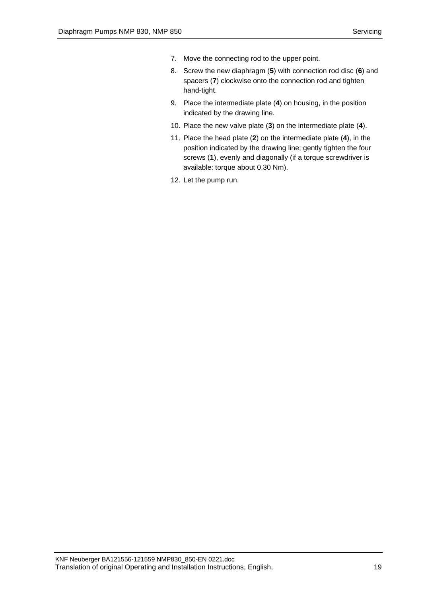- 7. Move the connecting rod to the upper point.
- 8. Screw the new diaphragm (**5**) with connection rod disc (**6**) and spacers (**7**) clockwise onto the connection rod and tighten hand-tight.
- 9. Place the intermediate plate (**4**) on housing, in the position indicated by the drawing line.
- 10. Place the new valve plate (**3**) on the intermediate plate (**4**).
- 11. Place the head plate (**2**) on the intermediate plate (**4**), in the position indicated by the drawing line; gently tighten the four screws (**1**), evenly and diagonally (if a torque screwdriver is available: torque about 0.30 Nm).
- 12. Let the pump run.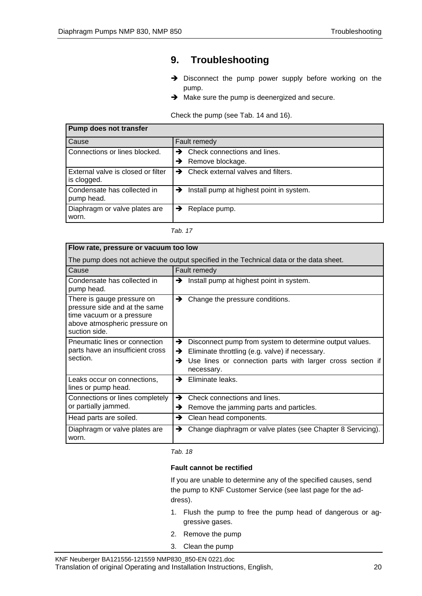# <span id="page-19-0"></span>**9. Troubleshooting**

- ➔ Disconnect the pump power supply before working on the pump.
- **→** Make sure the pump is deenergized and secure.

Check the pump (see Tab. 14 and 16).

| Pump does not transfer                            |                                                        |
|---------------------------------------------------|--------------------------------------------------------|
| Cause                                             | Fault remedy                                           |
| Connections or lines blocked.                     | Check connections and lines.<br>→                      |
|                                                   | Remove blockage.<br>→                                  |
| External valve is closed or filter<br>is clogged. | $\rightarrow$ Check external valves and filters.       |
| Condensate has collected in<br>pump head.         | $\rightarrow$ Install pump at highest point in system. |
| Diaphragm or valve plates are<br>worn.            | Replace pump.<br>→                                     |

*Tab. 17*

| Flow rate, pressure or vacuum too low                                                                                                      |                                                                                                                                                                                                       |
|--------------------------------------------------------------------------------------------------------------------------------------------|-------------------------------------------------------------------------------------------------------------------------------------------------------------------------------------------------------|
| The pump does not achieve the output specified in the Technical data or the data sheet.                                                    |                                                                                                                                                                                                       |
| Cause                                                                                                                                      | Fault remedy                                                                                                                                                                                          |
| Condensate has collected in<br>pump head.                                                                                                  | Install pump at highest point in system.<br>→                                                                                                                                                         |
| There is gauge pressure on<br>pressure side and at the same<br>time vacuum or a pressure<br>above atmospheric pressure on<br>suction side. | Change the pressure conditions.<br>→                                                                                                                                                                  |
| Pneumatic lines or connection<br>parts have an insufficient cross<br>section.                                                              | Disconnect pump from system to determine output values.<br>→<br>Eliminate throttling (e.g. valve) if necessary.<br>→<br>Use lines or connection parts with larger cross section if<br>→<br>necessary. |
| Leaks occur on connections,<br>lines or pump head.                                                                                         | Eliminate leaks.<br>→                                                                                                                                                                                 |
| Connections or lines completely<br>or partially jammed.                                                                                    | →<br>Check connections and lines.<br>Remove the jamming parts and particles.<br>→                                                                                                                     |
| Head parts are soiled.                                                                                                                     | →<br>Clean head components.                                                                                                                                                                           |
| Diaphragm or valve plates are<br>worn.                                                                                                     | Change diaphragm or valve plates (see Chapter 8 Servicing).<br>→                                                                                                                                      |

*Tab. 18*

#### **Fault cannot be rectified**

If you are unable to determine any of the specified causes, send the pump to KNF Customer Service (see last page for the address).

- 1. Flush the pump to free the pump head of dangerous or aggressive gases.
- 2. Remove the pump
- 3. Clean the pump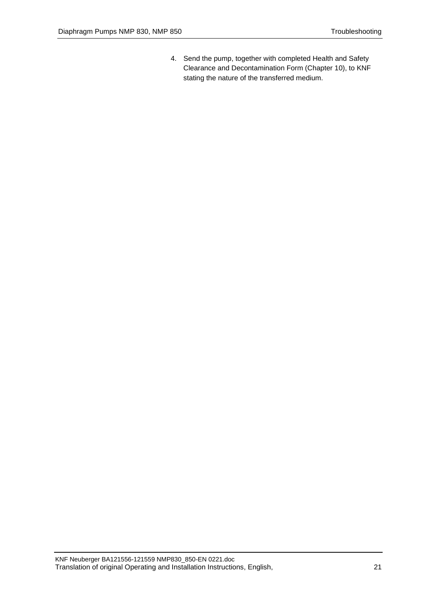4. Send the pump, together with completed Health and Safety Clearance and Decontamination Form (Chapter [10\)](#page-21-0), to KNF stating the nature of the transferred medium.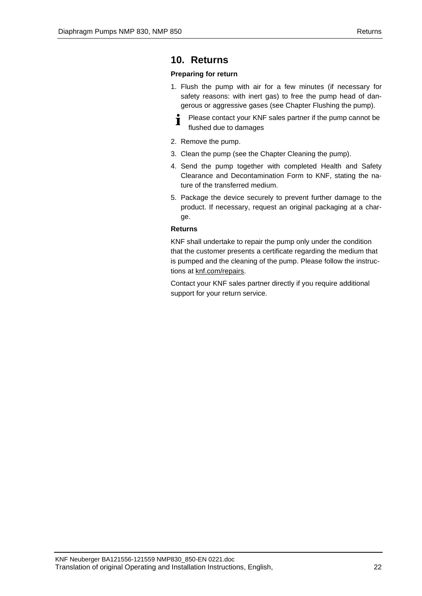## <span id="page-21-0"></span>**10. Returns**

## **Preparing for return**

- 1. Flush the pump with air for a few minutes (if necessary for safety reasons: with inert gas) to free the pump head of dangerous or aggressive gases (see Chapter Flushing the pump).
	- Please contact your KNF sales partner if the pump cannot be Ť flushed due to damages
- 2. Remove the pump.
- 3. Clean the pump (see the Chapter Cleaning the pump).
- 4. Send the pump together with completed Health and Safety Clearance and Decontamination Form to KNF, stating the nature of the transferred medium.
- 5. Package the device securely to prevent further damage to the product. If necessary, request an original packaging at a charge.

## **Returns**

KNF shall undertake to repair the pump only under the condition that the customer presents a certificate regarding the medium that is pumped and the cleaning of the pump. Please follow the instructions at knf.com/repairs.

Contact your KNF sales partner directly if you require additional support for your return service.